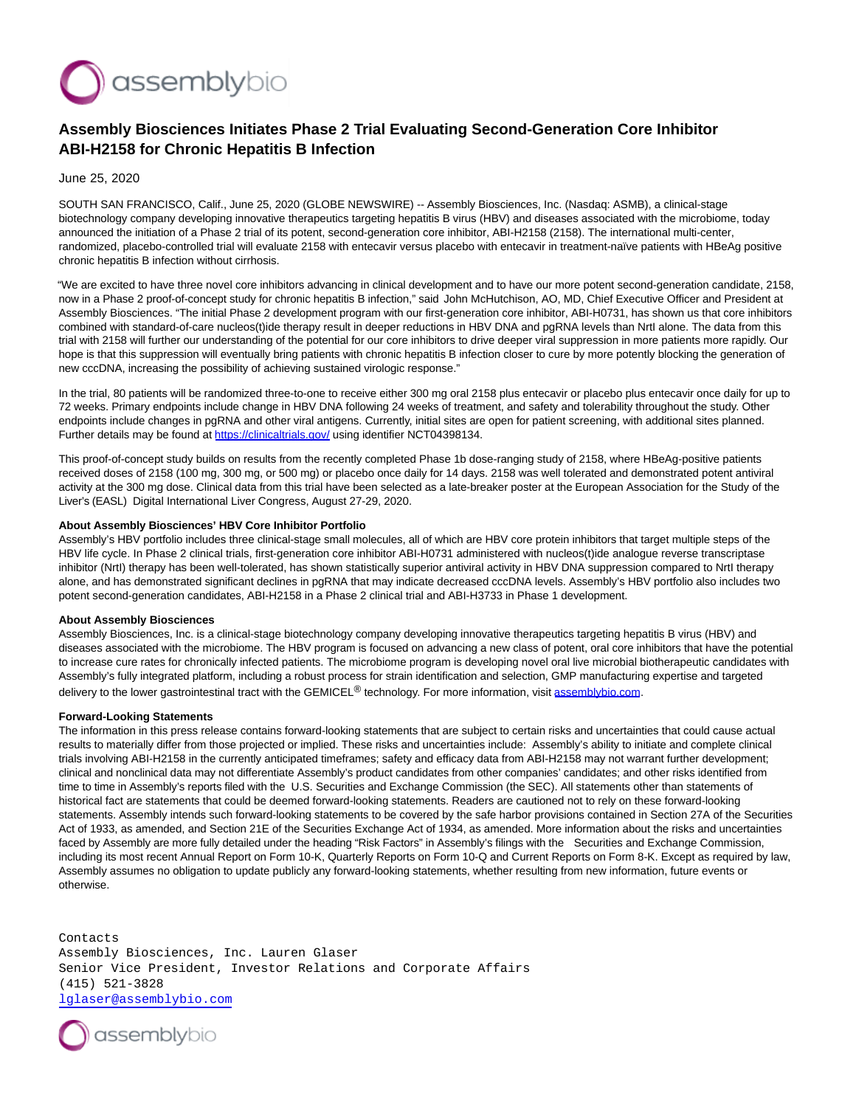

## **Assembly Biosciences Initiates Phase 2 Trial Evaluating Second-Generation Core Inhibitor ABI-H2158 for Chronic Hepatitis B Infection**

June 25, 2020

SOUTH SAN FRANCISCO, Calif., June 25, 2020 (GLOBE NEWSWIRE) -- Assembly Biosciences, Inc. (Nasdaq: ASMB), a clinical-stage biotechnology company developing innovative therapeutics targeting hepatitis B virus (HBV) and diseases associated with the microbiome, today announced the initiation of a Phase 2 trial of its potent, second-generation core inhibitor, ABI-H2158 (2158). The international multi-center, randomized, placebo-controlled trial will evaluate 2158 with entecavir versus placebo with entecavir in treatment-naïve patients with HBeAg positive chronic hepatitis B infection without cirrhosis.

"We are excited to have three novel core inhibitors advancing in clinical development and to have our more potent second-generation candidate, 2158, now in a Phase 2 proof-of-concept study for chronic hepatitis B infection," said John McHutchison, AO, MD, Chief Executive Officer and President at Assembly Biosciences. "The initial Phase 2 development program with our first-generation core inhibitor, ABI-H0731, has shown us that core inhibitors combined with standard-of-care nucleos(t)ide therapy result in deeper reductions in HBV DNA and pgRNA levels than NrtI alone. The data from this trial with 2158 will further our understanding of the potential for our core inhibitors to drive deeper viral suppression in more patients more rapidly. Our hope is that this suppression will eventually bring patients with chronic hepatitis B infection closer to cure by more potently blocking the generation of new cccDNA, increasing the possibility of achieving sustained virologic response."

In the trial, 80 patients will be randomized three-to-one to receive either 300 mg oral 2158 plus entecavir or placebo plus entecavir once daily for up to 72 weeks. Primary endpoints include change in HBV DNA following 24 weeks of treatment, and safety and tolerability throughout the study. Other endpoints include changes in pgRNA and other viral antigens. Currently, initial sites are open for patient screening, with additional sites planned. Further details may be found at [https://clinicaltrials.gov/ u](https://www.globenewswire.com/Tracker?data=pjoNUoiP2vy28E8Tfg6yUhOGVb_58EYmjnI1rpv7IEbrkRZ9Q57uEY-syo37oJhVaTfj7fLQXilOr73lvzhT7Sju5ayZUps3H9QscCKyqho=)sing identifier NCT04398134.

This proof-of-concept study builds on results from the recently completed Phase 1b dose-ranging study of 2158, where HBeAg-positive patients received doses of 2158 (100 mg, 300 mg, or 500 mg) or placebo once daily for 14 days. 2158 was well tolerated and demonstrated potent antiviral activity at the 300 mg dose. Clinical data from this trial have been selected as a late-breaker poster at the European Association for the Study of the Liver's (EASL) Digital International Liver Congress, August 27-29, 2020.

## **About Assembly Biosciences' HBV Core Inhibitor Portfolio**

Assembly's HBV portfolio includes three clinical-stage small molecules, all of which are HBV core protein inhibitors that target multiple steps of the HBV life cycle. In Phase 2 clinical trials, first-generation core inhibitor ABI-H0731 administered with nucleos(t)ide analogue reverse transcriptase inhibitor (NrtI) therapy has been well-tolerated, has shown statistically superior antiviral activity in HBV DNA suppression compared to NrtI therapy alone, and has demonstrated significant declines in pgRNA that may indicate decreased cccDNA levels. Assembly's HBV portfolio also includes two potent second-generation candidates, ABI-H2158 in a Phase 2 clinical trial and ABI-H3733 in Phase 1 development.

## **About Assembly Biosciences**

Assembly Biosciences, Inc. is a clinical-stage biotechnology company developing innovative therapeutics targeting hepatitis B virus (HBV) and diseases associated with the microbiome. The HBV program is focused on advancing a new class of potent, oral core inhibitors that have the potential to increase cure rates for chronically infected patients. The microbiome program is developing novel oral live microbial biotherapeutic candidates with Assembly's fully integrated platform, including a robust process for strain identification and selection, GMP manufacturing expertise and targeted delivery to the lower gastrointestinal tract with the GEMICEL® technology. For more information, visit [assemblybio.com.](https://www.globenewswire.com/Tracker?data=RjrsjagKsR-IHoJFFmCw-by1MxZyFUE8QMpzOopq68HQSLpVDtASpPPiKr9K3B1ZXekiHlCGF3IhNCOZ83WMwCB0T5h8OB-NFHyLelIlZ6c=)

## **Forward-Looking Statements**

The information in this press release contains forward-looking statements that are subject to certain risks and uncertainties that could cause actual results to materially differ from those projected or implied. These risks and uncertainties include: Assembly's ability to initiate and complete clinical trials involving ABI-H2158 in the currently anticipated timeframes; safety and efficacy data from ABI-H2158 may not warrant further development; clinical and nonclinical data may not differentiate Assembly's product candidates from other companies' candidates; and other risks identified from time to time in Assembly's reports filed with the U.S. Securities and Exchange Commission (the SEC). All statements other than statements of historical fact are statements that could be deemed forward-looking statements. Readers are cautioned not to rely on these forward-looking statements. Assembly intends such forward-looking statements to be covered by the safe harbor provisions contained in Section 27A of the Securities Act of 1933, as amended, and Section 21E of the Securities Exchange Act of 1934, as amended. More information about the risks and uncertainties faced by Assembly are more fully detailed under the heading "Risk Factors" in Assembly's filings with the Securities and Exchange Commission, including its most recent Annual Report on Form 10-K, Quarterly Reports on Form 10-Q and Current Reports on Form 8-K. Except as required by law, Assembly assumes no obligation to update publicly any forward-looking statements, whether resulting from new information, future events or otherwise.

Contacts Assembly Biosciences, Inc. Lauren Glaser Senior Vice President, Investor Relations and Corporate Affairs (415) 521-3828 [lglaser@assemblybio.com](mailto:lglaser@assemblybio.com)